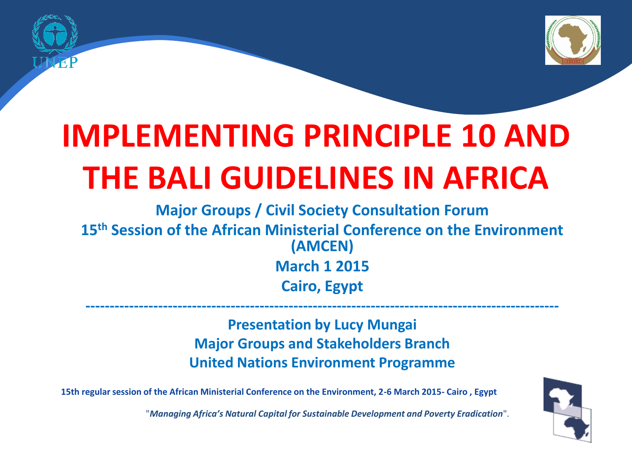

## **IMPLEMENTING PRINCIPLE 10 AND THE BALI GUIDELINES IN AFRICA**

**Major Groups / Civil Society Consultation Forum 15th Session of the African Ministerial Conference on the Environment (AMCEN) March 1 2015 Cairo, Egypt**

> **Presentation by Lucy Mungai Major Groups and Stakeholders Branch United Nations Environment Programme**

**--------------------------------------------------------------------------------------------------**

**15th regular session of the African Ministerial Conference on the Environment, 2-6 March 2015- Cairo , Egypt**

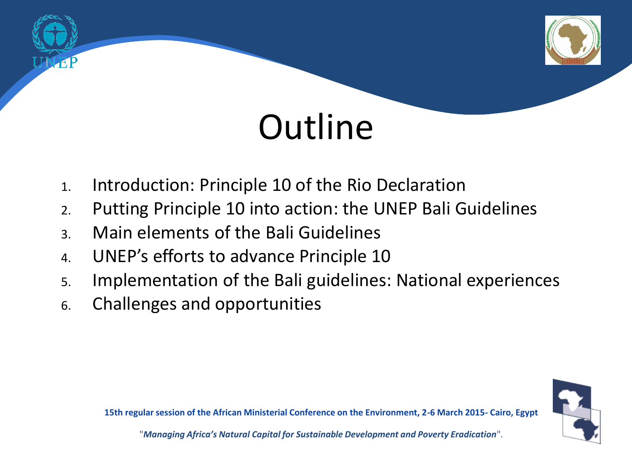

# **Outline**

- 1. Introduction: Principle 10 of the Rio Declaration
- 2. Putting Principle 10 into action: the UNEP Bali Guidelines
- 3. Main elements of the Bali Guidelines
- 4. UNEP's efforts to advance Principle 10
- 5. Implementation of the Bali guidelines: National experiences
- 6. Challenges and opportunities



**15th regular session of the African Ministerial Conference on the Environment, 2-6 March 2015- Cairo, Egypt**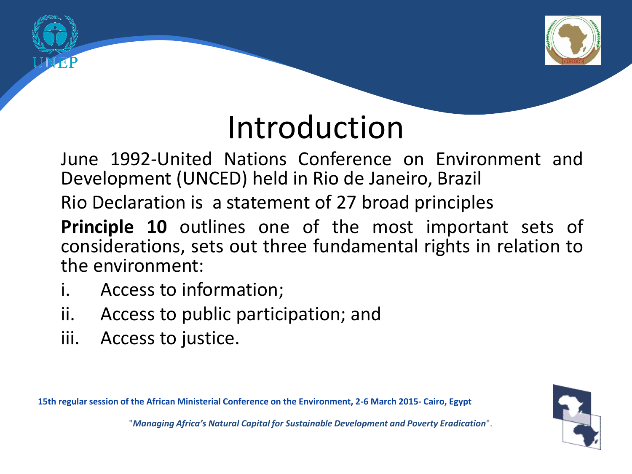

## Introduction

June 1992-United Nations Conference on Environment and Development (UNCED) held in Rio de Janeiro, Brazil

Rio Declaration is a statement of 27 broad principles

- **Principle 10** outlines one of the most important sets of considerations, sets out three fundamental rights in relation to the environment:
- i. Access to information;
- ii. Access to public participation; and
- iii. Access to justice.

**15th regular session of the African Ministerial Conference on the Environment, 2-6 March 2015- Cairo, Egypt**

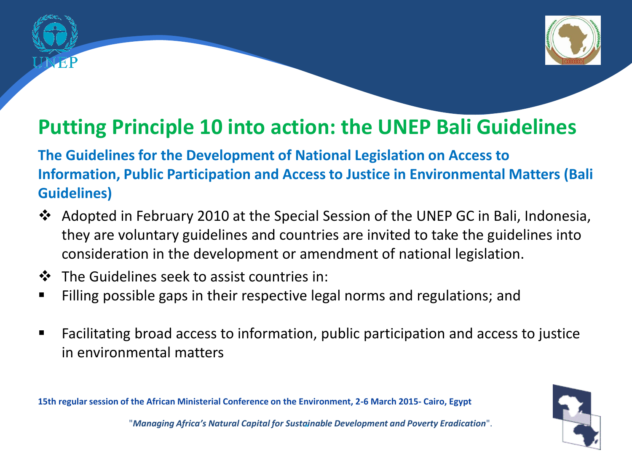

### **Putting Principle 10 into action: the UNEP Bali Guidelines**

**The Guidelines for the Development of National Legislation on Access to Information, Public Participation and Access to Justice in Environmental Matters (Bali Guidelines)**

- Adopted in February 2010 at the Special Session of the UNEP GC in Bali, Indonesia, they are voluntary guidelines and countries are invited to take the guidelines into consideration in the development or amendment of national legislation.
- The Guidelines seek to assist countries in:
- Filling possible gaps in their respective legal norms and regulations; and
- Facilitating broad access to information, public participation and access to justice in environmental matters

**15th regular session of the African Ministerial Conference on the Environment, 2-6 March 2015- Cairo, Egypt**

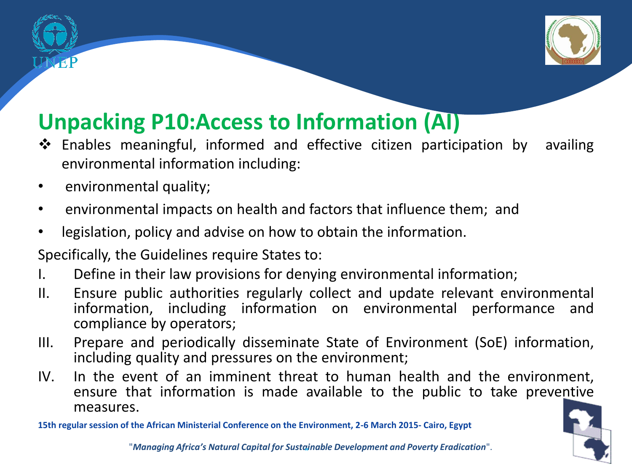

### **Unpacking P10:Access to Information (AI)**

- Enables meaningful, informed and effective citizen participation by availing environmental information including:
- environmental quality;
- environmental impacts on health and factors that influence them; and
- legislation, policy and advise on how to obtain the information.
- Specifically, the Guidelines require States to:
- I. Define in their law provisions for denying environmental information;
- II. Ensure public authorities regularly collect and update relevant environmental information, including information on environmental performance and compliance by operators;
- III. Prepare and periodically disseminate State of Environment (SoE) information, including quality and pressures on the environment;
- IV. In the event of an imminent threat to human health and the environment, ensure that information is made available to the public to take preventive measures.

**15th regular session of the African Ministerial Conference on the Environment, 2-6 March 2015- Cairo, Egypt**

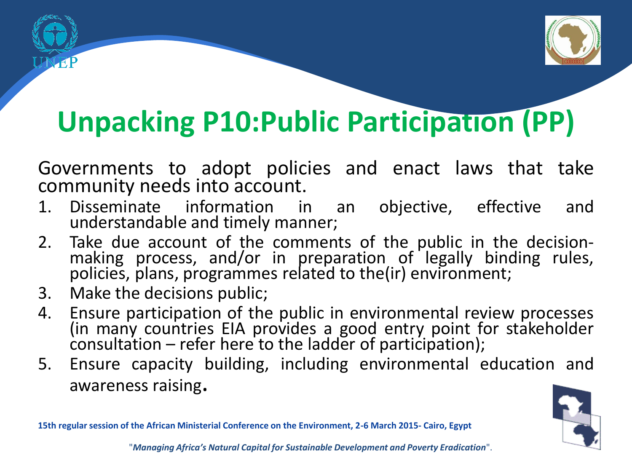

### **Unpacking P10:Public Participation (PP)**

Governments to adopt policies and enact laws that take community needs into account.

- 1. Disseminate information in an objective, effective and understandable and timely manner;
- 2. Take due account of the comments of the public in the decisionmaking process, and/or in preparation of legally binding rules, policies, plans, programmes related to the(ir) environment;
- 3. Make the decisions public;
- 4. Ensure participation of the public in environmental review processes (in many countries EIA provides a good entry point for stakeholder consultation – refer here to the ladder of participation);
- 5. Ensure capacity building, including environmental education and awareness raising.



**15th regular session of the African Ministerial Conference on the Environment, 2-6 March 2015- Cairo, Egypt**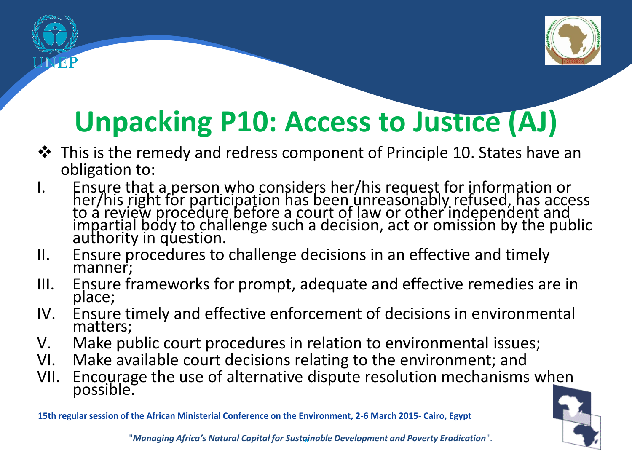

## **Unpacking P10: Access to Justice (AJ)**

- $\triangle$  This is the remedy and redress component of Principle 10. States have an obligation to:
- I. Ensure that a person who considers her/his request for information or<br>her/his right for participation has been unreasonably refused, has access to a review procedure before a court of law or other independent and impartial body to challenge such a decision, act or omission by the public authority in question.
- II. Ensure procedures to challenge decisions in an effective and timely manner;
- III. Ensure frameworks for prompt, adequate and effective remedies are in place;
- IV. Ensure timely and effective enforcement of decisions in environmental matters;
- V. Make public court procedures in relation to environmental issues;
- VI. Make available court decisions relating to the environment; and
- VII. Encourage the use of alternative dispute resolution mechanisms when possible.

**15th regular session of the African Ministerial Conference on the Environment, 2-6 March 2015- Cairo, Egypt**

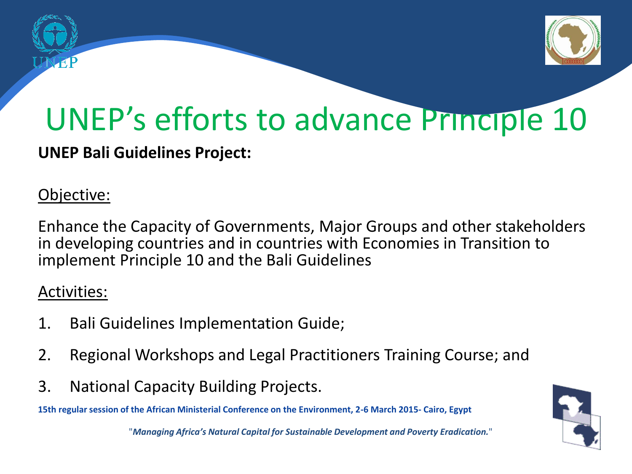

## UNEP's efforts to advance Principle 10

#### **UNEP Bali Guidelines Project:**

#### Objective:

Enhance the Capacity of Governments, Major Groups and other stakeholders in developing countries and in countries with Economies in Transition to implement Principle 10 and the Bali Guidelines

#### Activities:

- 1. Bali Guidelines Implementation Guide;
- 2. Regional Workshops and Legal Practitioners Training Course; and
- 3. National Capacity Building Projects.

**15th regular session of the African Ministerial Conference on the Environment, 2-6 March 2015- Cairo, Egypt**

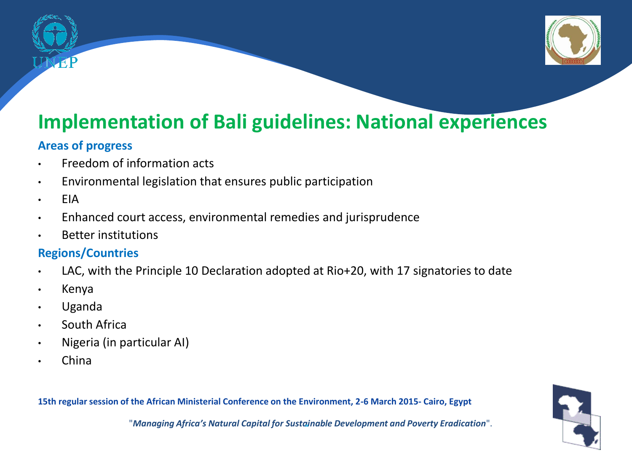

### **Implementation of Bali guidelines: National experiences**

#### **Areas of progress**

- Freedom of information acts
- Environmental legislation that ensures public participation
- EIA
- Enhanced court access, environmental remedies and jurisprudence
- Better institutions

#### **Regions/Countries**

- LAC, with the Principle 10 Declaration adopted at Rio+20, with 17 signatories to date
- Kenya
- Uganda
- South Africa
- Nigeria (in particular AI)
- China

**15th regular session of the African Ministerial Conference on the Environment, 2-6 March 2015- Cairo, Egypt**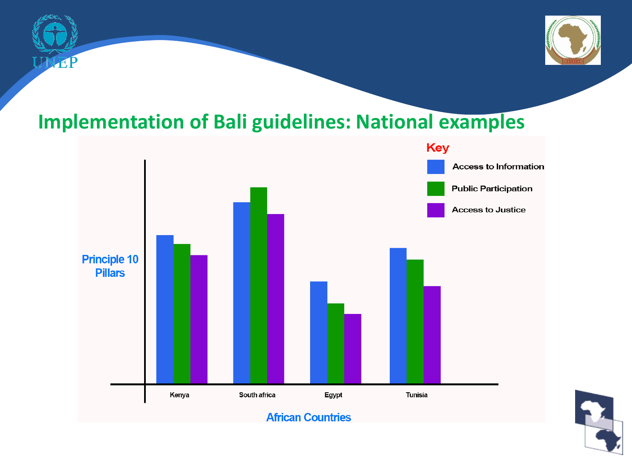



### **Implementation of Bali guidelines: National examples**



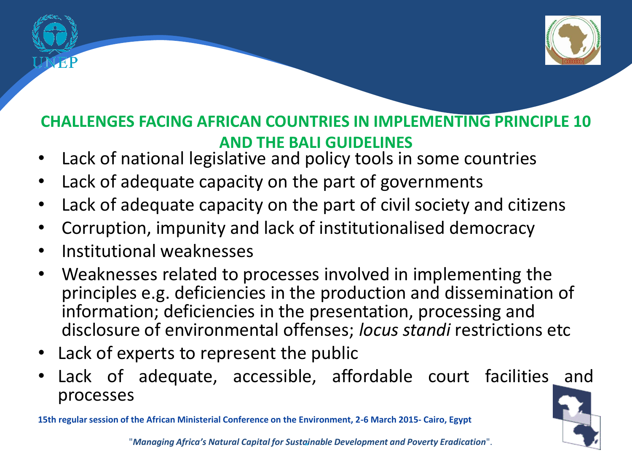

#### **CHALLENGES FACING AFRICAN COUNTRIES IN IMPLEMENTING PRINCIPLE 10 AND THE BALI GUIDELINES**

- Lack of national legislative and policy tools in some countries
- Lack of adequate capacity on the part of governments
- Lack of adequate capacity on the part of civil society and citizens
- Corruption, impunity and lack of institutionalised democracy
- Institutional weaknesses
- Weaknesses related to processes involved in implementing the principles e.g. deficiencies in the production and dissemination of information; deficiencies in the presentation, processing and disclosure of environmental offenses; *locus standi* restrictions etc
- Lack of experts to represent the public
- Lack of adequate, accessible, affordable court facilities and processes

**15th regular session of the African Ministerial Conference on the Environment, 2-6 March 2015- Cairo, Egypt**